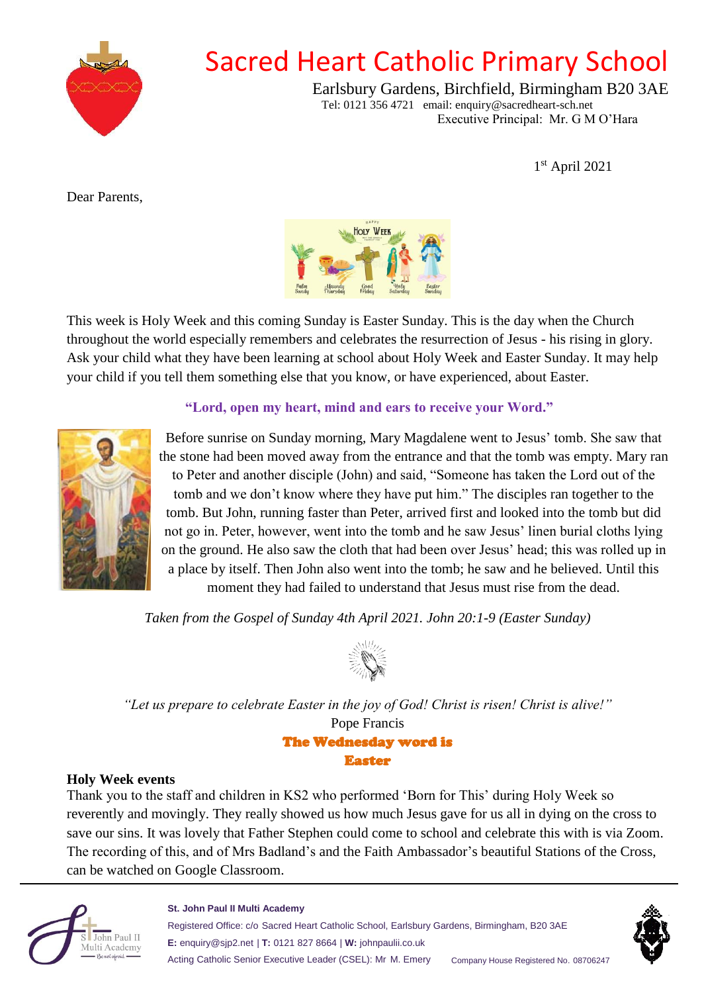

## Sacred Heart Catholic Primary School

Earlsbury Gardens, Birchfield, Birmingham B20 3AE Tel: 0121 356 4721 email: enquiry@sacredheart-sch.net Executive Principal: Mr. G M O'Hara

1 st April 2021

<span id="page-0-0"></span>Dear Parents,



This week is Holy Week and this coming Sunday is Easter Sunday. This is the day when the Church throughout the world especially remembers and celebrates the resurrection of Jesus - his rising in glory. Ask your child what they have been learning at school about Holy Week and Easter Sunday. It may help your child if you tell them something else that you know, or have experienced, about Easter.

### **"Lord, open my heart, mind and ears to receive your Word."**



Before sunrise on Sunday morning, Mary Magdalene went to Jesus' tomb. She saw that the stone had been moved away from the entrance and that the tomb was empty. Mary ran to Peter and another disciple (John) and said, "Someone has taken the Lord out of the tomb and we don't know where they have put him." The disciples ran together to the tomb. But John, running faster than Peter, arrived first and looked into the tomb but did not go in. Peter, however, went into the tomb and he saw Jesus' linen burial cloths lying on the ground. He also saw the cloth that had been over Jesus' head; this was rolled up in a place by itself. Then John also went into the tomb; he saw and he believed. Until this moment they had failed to understand that Jesus must rise from the dead.

*Taken from the Gospel of Sunday 4th April 2021. John 20:1-9 (Easter Sunday)*



*"Let us prepare to celebrate Easter in the joy of God! Christ is risen! Christ is alive!"*  Pope Francis The Wednesday word is Easter

#### **Holy Week events**

Thank you to the staff and children in KS2 who performed 'Born for This' during Holy Week so reverently and movingly. They really showed us how much Jesus gave for us all in dying on the cross to save our sins. It was lovely that Father Stephen could come to school and celebrate this with is via Zoom. The recording of this, and of Mrs Badland's and the Faith Ambassador's beautiful Stations of the Cross, can be watched on Google Classroom.



**St. John Paul II Multi Academy**

Registered Office: c/o Sacred Heart Catholic School, Earlsbury Gardens, Birmingham, B20 3AE **E:** enquiry@sjp2.net | **T:** 0121 827 8664 | **W:** johnpaulii.co.uk Acting Catholic Senior Executive Leader (CSEL): Mr M. Emery Company House Registered No. 08706247

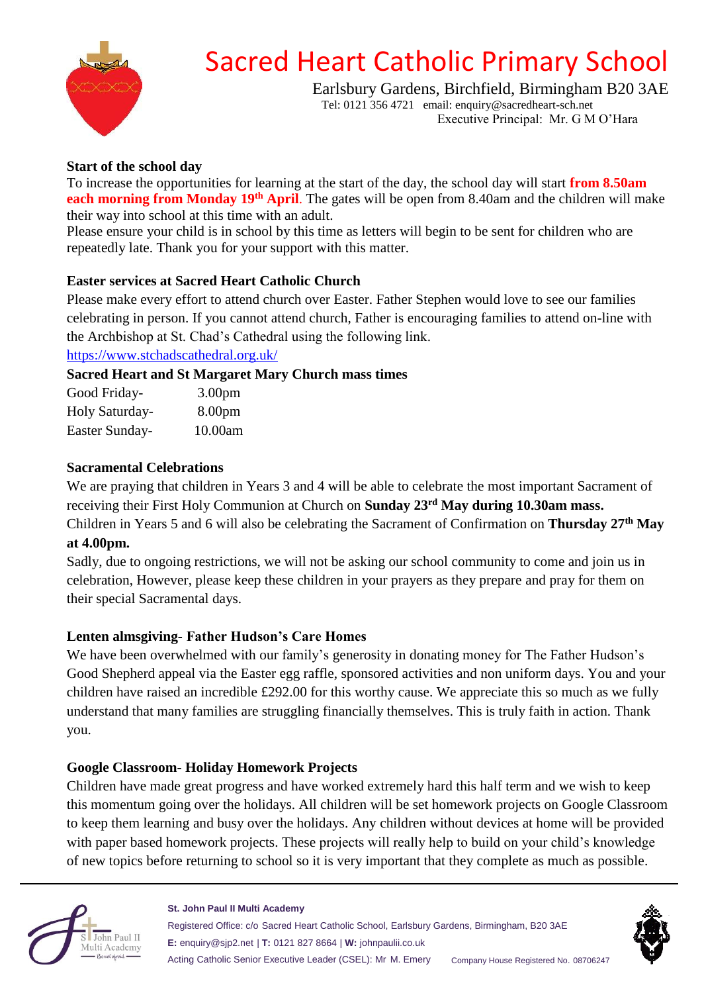

# Sacred Heart Catholic Primary School

Earlsbury Gardens, Birchfield, Birmingham B20 3AE Tel: 0121 356 4721 email: enquiry@sacredheart-sch.net

Executive Principal: Mr. G M O'Hara

### **Start of the school day**

To increase the opportunities for learning at the start of the day, the school day will start **from 8.50am each morning from Monday 19th April**. The gates will be open from 8.40am and the children will make their way into school at this time with an adult.

Please ensure your child is in school by this time as letters will begin to be sent for children who are repeatedly late. Thank you for your support with this matter.

#### **Easter services at Sacred Heart Catholic Church**

Please make every effort to attend church over Easter. Father Stephen would love to see our families celebrating in person. If you cannot attend church, Father is encouraging families to attend on-line with the Archbishop at St. Chad's Cathedral using the following link.

[https://www.stchadscathedral.org.uk/](#page-0-0)

#### **Sacred Heart and St Margaret Mary Church mass times**

| Good Friday-   | 3.00 <sub>pm</sub> |
|----------------|--------------------|
| Holy Saturday- | 8.00 <sub>pm</sub> |
| Easter Sunday- | 10.00am            |

#### **Sacramental Celebrations**

We are praying that children in Years 3 and 4 will be able to celebrate the most important Sacrament of receiving their First Holy Communion at Church on **Sunday 23rd May during 10.30am mass.** Children in Years 5 and 6 will also be celebrating the Sacrament of Confirmation on **Thursday 27th May at 4.00pm.**

Sadly, due to ongoing restrictions, we will not be asking our school community to come and join us in celebration, However, please keep these children in your prayers as they prepare and pray for them on their special Sacramental days.

## **Lenten almsgiving- Father Hudson's Care Homes**

We have been overwhelmed with our family's generosity in donating money for The Father Hudson's Good Shepherd appeal via the Easter egg raffle, sponsored activities and non uniform days. You and your children have raised an incredible £292.00 for this worthy cause. We appreciate this so much as we fully understand that many families are struggling financially themselves. This is truly faith in action. Thank you.

#### **Google Classroom- Holiday Homework Projects**

Children have made great progress and have worked extremely hard this half term and we wish to keep this momentum going over the holidays. All children will be set homework projects on Google Classroom to keep them learning and busy over the holidays. Any children without devices at home will be provided with paper based homework projects. These projects will really help to build on your child's knowledge of new topics before returning to school so it is very important that they complete as much as possible.